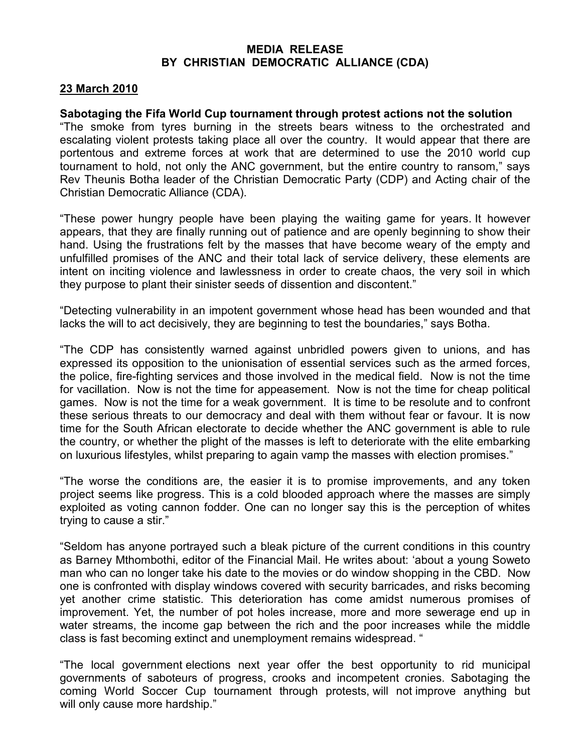## MEDIA RELEASE BY CHRISTIAN DEMOCRATIC ALLIANCE (CDA)

## 23 March 2010

## Sabotaging the Fifa World Cup tournament through protest actions not the solution

"The smoke from tyres burning in the streets bears witness to the orchestrated and escalating violent protests taking place all over the country. It would appear that there are portentous and extreme forces at work that are determined to use the 2010 world cup tournament to hold, not only the ANC government, but the entire country to ransom," says Rev Theunis Botha leader of the Christian Democratic Party (CDP) and Acting chair of the Christian Democratic Alliance (CDA).

"These power hungry people have been playing the waiting game for years. It however appears, that they are finally running out of patience and are openly beginning to show their hand. Using the frustrations felt by the masses that have become weary of the empty and unfulfilled promises of the ANC and their total lack of service delivery, these elements are intent on inciting violence and lawlessness in order to create chaos, the very soil in which they purpose to plant their sinister seeds of dissention and discontent."

"Detecting vulnerability in an impotent government whose head has been wounded and that lacks the will to act decisively, they are beginning to test the boundaries," says Botha.

"The CDP has consistently warned against unbridled powers given to unions, and has expressed its opposition to the unionisation of essential services such as the armed forces, the police, fire-fighting services and those involved in the medical field. Now is not the time for vacillation. Now is not the time for appeasement. Now is not the time for cheap political games. Now is not the time for a weak government. It is time to be resolute and to confront these serious threats to our democracy and deal with them without fear or favour. It is now time for the South African electorate to decide whether the ANC government is able to rule the country, or whether the plight of the masses is left to deteriorate with the elite embarking on luxurious lifestyles, whilst preparing to again vamp the masses with election promises."

"The worse the conditions are, the easier it is to promise improvements, and any token project seems like progress. This is a cold blooded approach where the masses are simply exploited as voting cannon fodder. One can no longer say this is the perception of whites trying to cause a stir."

"Seldom has anyone portrayed such a bleak picture of the current conditions in this country as Barney Mthombothi, editor of the Financial Mail. He writes about: 'about a young Soweto man who can no longer take his date to the movies or do window shopping in the CBD. Now one is confronted with display windows covered with security barricades, and risks becoming yet another crime statistic. This deterioration has come amidst numerous promises of improvement. Yet, the number of pot holes increase, more and more sewerage end up in water streams, the income gap between the rich and the poor increases while the middle class is fast becoming extinct and unemployment remains widespread. "

"The local government elections next year offer the best opportunity to rid municipal governments of saboteurs of progress, crooks and incompetent cronies. Sabotaging the coming World Soccer Cup tournament through protests, will not improve anything but will only cause more hardship."